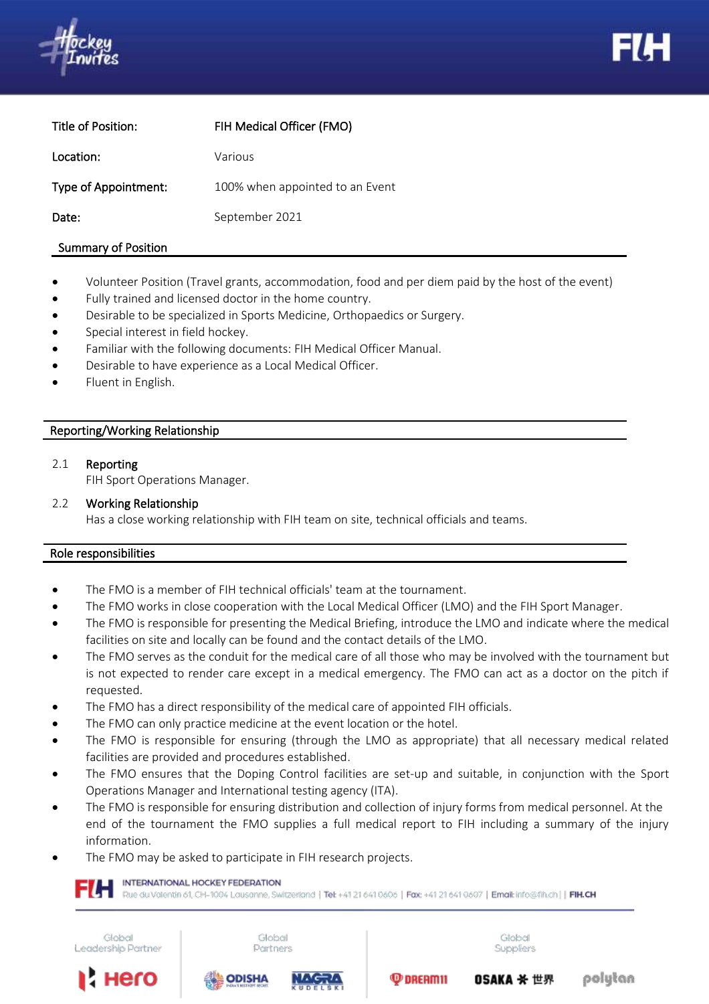



| Title of Position:   | FIH Medical Officer (FMO)       |
|----------------------|---------------------------------|
| Location:            | Various                         |
| Type of Appointment: | 100% when appointed to an Event |
| Date:                | September 2021                  |
|                      |                                 |

### Summary of Position

- Volunteer Position (Travel grants, accommodation, food and per diem paid by the host of the event)
- Fully trained and licensed doctor in the home country.
- Desirable to be specialized in Sports Medicine, Orthopaedics or Surgery.
- Special interest in field hockey.
- Familiar with the following documents: FIH Medical Officer Manual.
- Desirable to have experience as a Local Medical Officer.
- Fluent in English.

### 2. Reporting/Working Relationship

#### 2.1 Reporting

FIH Sport Operations Manager.

# 2.2 Working Relationship

Has a close working relationship with FIH team on site, technical officials and teams.

### Role responsibilities

- The FMO is a member of FIH technical officials' team at the tournament.
- The FMO works in close cooperation with the Local Medical Officer (LMO) and the FIH Sport Manager.
- The FMO is responsible for presenting the Medical Briefing, introduce the LMO and indicate where the medical facilities on site and locally can be found and the contact details of the LMO.
- The FMO serves as the conduit for the medical care of all those who may be involved with the tournament but is not expected to render care except in a medical emergency. The FMO can act as a doctor on the pitch if requested.
- The FMO has a direct responsibility of the medical care of appointed FIH officials.
- The FMO can only practice medicine at the event location or the hotel.
- The FMO is responsible for ensuring (through the LMO as appropriate) that all necessary medical related facilities are provided and procedures established.
- The FMO ensures that the Doping Control facilities are set-up and suitable, in conjunction with the Sport Operations Manager and International testing agency (ITA).
- The FMO is responsible for ensuring distribution and collection of injury forms from medical personnel. At the end of the tournament the FMO supplies a full medical report to FIH including a summary of the injury information.
- The FMO may be asked to participate in FIH research projects.

#### INTERNATIONAL HOCKEY FEDERATION

Rue du Valentin 61, CH-1004 Lausanne, Switzerland | Tet +41 21 641 0606 | Fax: +41 21 641 0607 | Email: info@fih.ch | | FIH.CH

Global Leadership Partner

Hero

Global Partners

**ODISHA** 





 $\mathbf{\Phi}$  DREAM 11